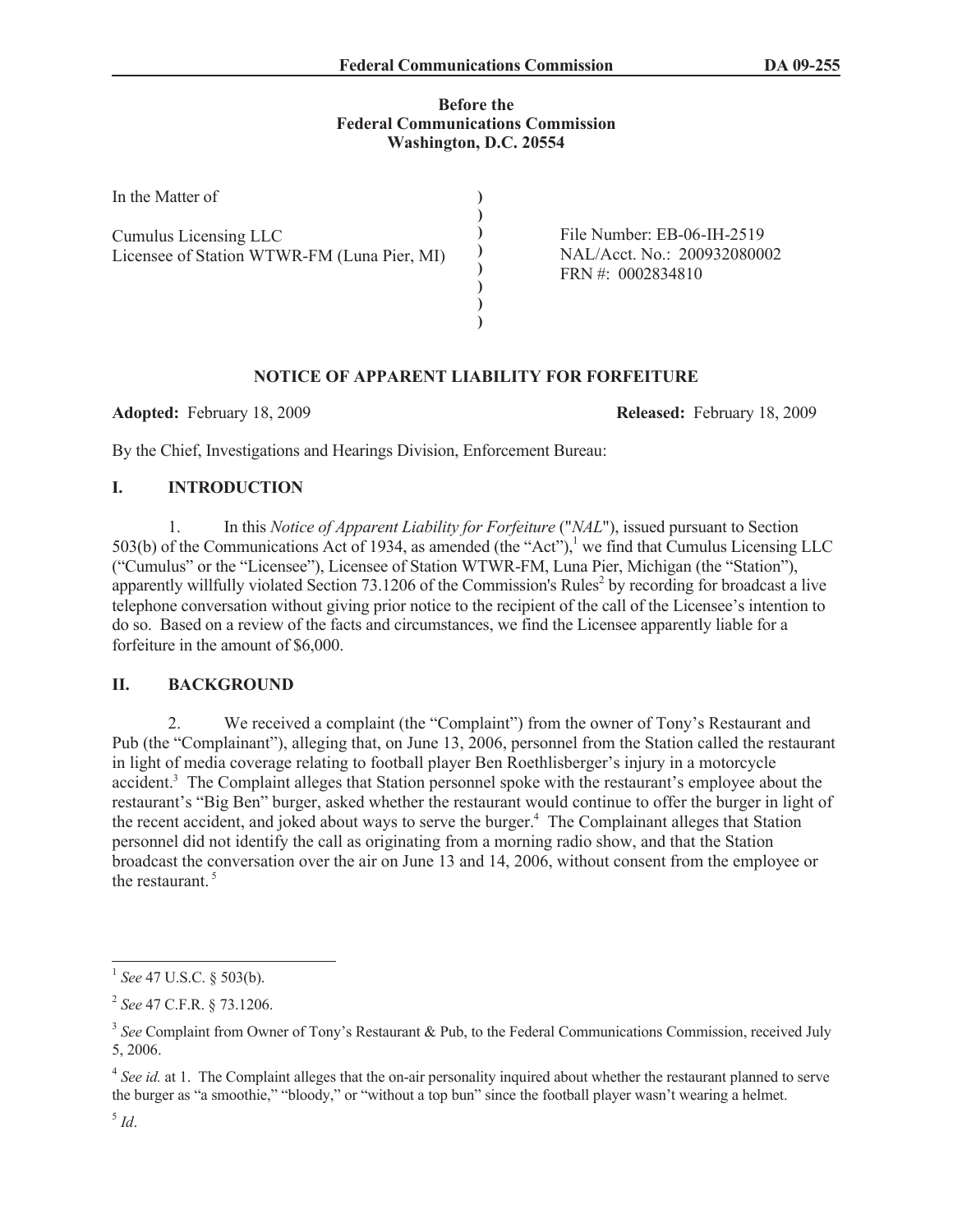### **Before the Federal Communications Commission Washington, D.C. 20554**

| In the Matter of                                                     |                                                                                  |
|----------------------------------------------------------------------|----------------------------------------------------------------------------------|
| Cumulus Licensing LLC<br>Licensee of Station WTWR-FM (Luna Pier, MI) | File Number: EB-06-IH-2519<br>NAL/Acct. No.: 200932080002<br>FRN #: $0002834810$ |

# **NOTICE OF APPARENT LIABILITY FOR FORFEITURE**

**Adopted:** February 18, 2009 **Released:** February 18, 2009

By the Chief, Investigations and Hearings Division, Enforcement Bureau:

# **I. INTRODUCTION**

1. In this *Notice of Apparent Liability for Forfeiture* ("*NAL*"), issued pursuant to Section 503(b) of the Communications Act of 1934, as amended (the "Act"),<sup>1</sup> we find that Cumulus Licensing LLC ("Cumulus" or the "Licensee"), Licensee of Station WTWR-FM, Luna Pier, Michigan (the "Station"), apparently willfully violated Section 73.1206 of the Commission's Rules<sup>2</sup> by recording for broadcast a live telephone conversation without giving prior notice to the recipient of the call of the Licensee's intention to do so. Based on a review of the facts and circumstances, we find the Licensee apparently liable for a forfeiture in the amount of \$6,000.

# **II. BACKGROUND**

2. We received a complaint (the "Complaint") from the owner of Tony's Restaurant and Pub (the "Complainant"), alleging that, on June 13, 2006, personnel from the Station called the restaurant in light of media coverage relating to football player Ben Roethlisberger's injury in a motorcycle accident.<sup>3</sup> The Complaint alleges that Station personnel spoke with the restaurant's employee about the restaurant's "Big Ben" burger, asked whether the restaurant would continue to offer the burger in light of the recent accident, and joked about ways to serve the burger.<sup>4</sup> The Complainant alleges that Station personnel did not identify the call as originating from a morning radio show, and that the Station broadcast the conversation over the air on June 13 and 14, 2006, without consent from the employee or the restaurant.  $5$ 

<sup>1</sup> *See* 47 U.S.C. § 503(b).

<sup>2</sup> *See* 47 C.F.R. § 73.1206.

<sup>&</sup>lt;sup>3</sup> See Complaint from Owner of Tony's Restaurant & Pub, to the Federal Communications Commission, received July 5, 2006.

<sup>&</sup>lt;sup>4</sup> See id. at 1. The Complaint alleges that the on-air personality inquired about whether the restaurant planned to serve the burger as "a smoothie," "bloody," or "without a top bun" since the football player wasn't wearing a helmet.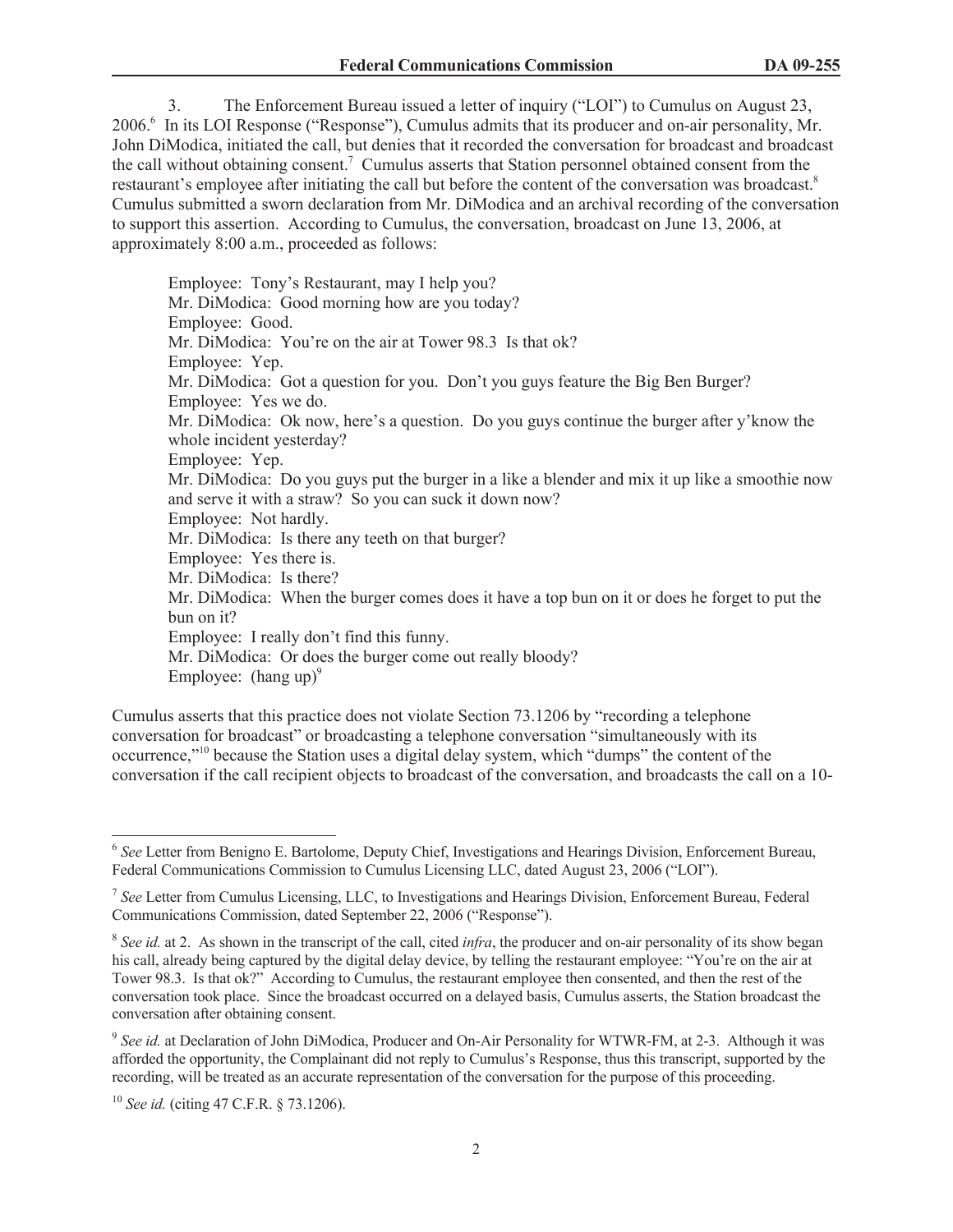3. The Enforcement Bureau issued a letter of inquiry ("LOI") to Cumulus on August 23, 2006.<sup>6</sup> In its LOI Response ("Response"), Cumulus admits that its producer and on-air personality, Mr. John DiModica, initiated the call, but denies that it recorded the conversation for broadcast and broadcast the call without obtaining consent.<sup>7</sup> Cumulus asserts that Station personnel obtained consent from the restaurant's employee after initiating the call but before the content of the conversation was broadcast.<sup>8</sup> Cumulus submitted a sworn declaration from Mr. DiModica and an archival recording of the conversation to support this assertion. According to Cumulus, the conversation, broadcast on June 13, 2006, at approximately 8:00 a.m., proceeded as follows:

Employee: Tony's Restaurant, may I help you? Mr. DiModica: Good morning how are you today? Employee: Good. Mr. DiModica: You're on the air at Tower 98.3 Is that ok? Employee: Yep. Mr. DiModica: Got a question for you. Don't you guys feature the Big Ben Burger? Employee: Yes we do. Mr. DiModica: Ok now, here's a question. Do you guys continue the burger after y'know the whole incident yesterday? Employee: Yep. Mr. DiModica: Do you guys put the burger in a like a blender and mix it up like a smoothie now and serve it with a straw? So you can suck it down now? Employee: Not hardly. Mr. DiModica: Is there any teeth on that burger? Employee: Yes there is. Mr. DiModica: Is there? Mr. DiModica: When the burger comes does it have a top bun on it or does he forget to put the bun on it? Employee: I really don't find this funny. Mr. DiModica: Or does the burger come out really bloody? Employee:  $(hang up)^9$ 

Cumulus asserts that this practice does not violate Section 73.1206 by "recording a telephone conversation for broadcast" or broadcasting a telephone conversation "simultaneously with its occurrence,"<sup>10</sup> because the Station uses a digital delay system, which "dumps" the content of the conversation if the call recipient objects to broadcast of the conversation, and broadcasts the call on a 10-

<sup>6</sup> *See* Letter from Benigno E. Bartolome, Deputy Chief, Investigations and Hearings Division, Enforcement Bureau, Federal Communications Commission to Cumulus Licensing LLC, dated August 23, 2006 ("LOI").

<sup>7</sup> *See* Letter from Cumulus Licensing, LLC, to Investigations and Hearings Division, Enforcement Bureau, Federal Communications Commission, dated September 22, 2006 ("Response").

<sup>&</sup>lt;sup>8</sup> See id. at 2. As shown in the transcript of the call, cited *infra*, the producer and on-air personality of its show began his call, already being captured by the digital delay device, by telling the restaurant employee: "You're on the air at Tower 98.3. Is that ok?" According to Cumulus, the restaurant employee then consented, and then the rest of the conversation took place. Since the broadcast occurred on a delayed basis, Cumulus asserts, the Station broadcast the conversation after obtaining consent.

<sup>&</sup>lt;sup>9</sup> See id. at Declaration of John DiModica, Producer and On-Air Personality for WTWR-FM, at 2-3. Although it was afforded the opportunity, the Complainant did not reply to Cumulus's Response, thus this transcript, supported by the recording, will be treated as an accurate representation of the conversation for the purpose of this proceeding.

<sup>10</sup> *See id.* (citing 47 C.F.R. § 73.1206).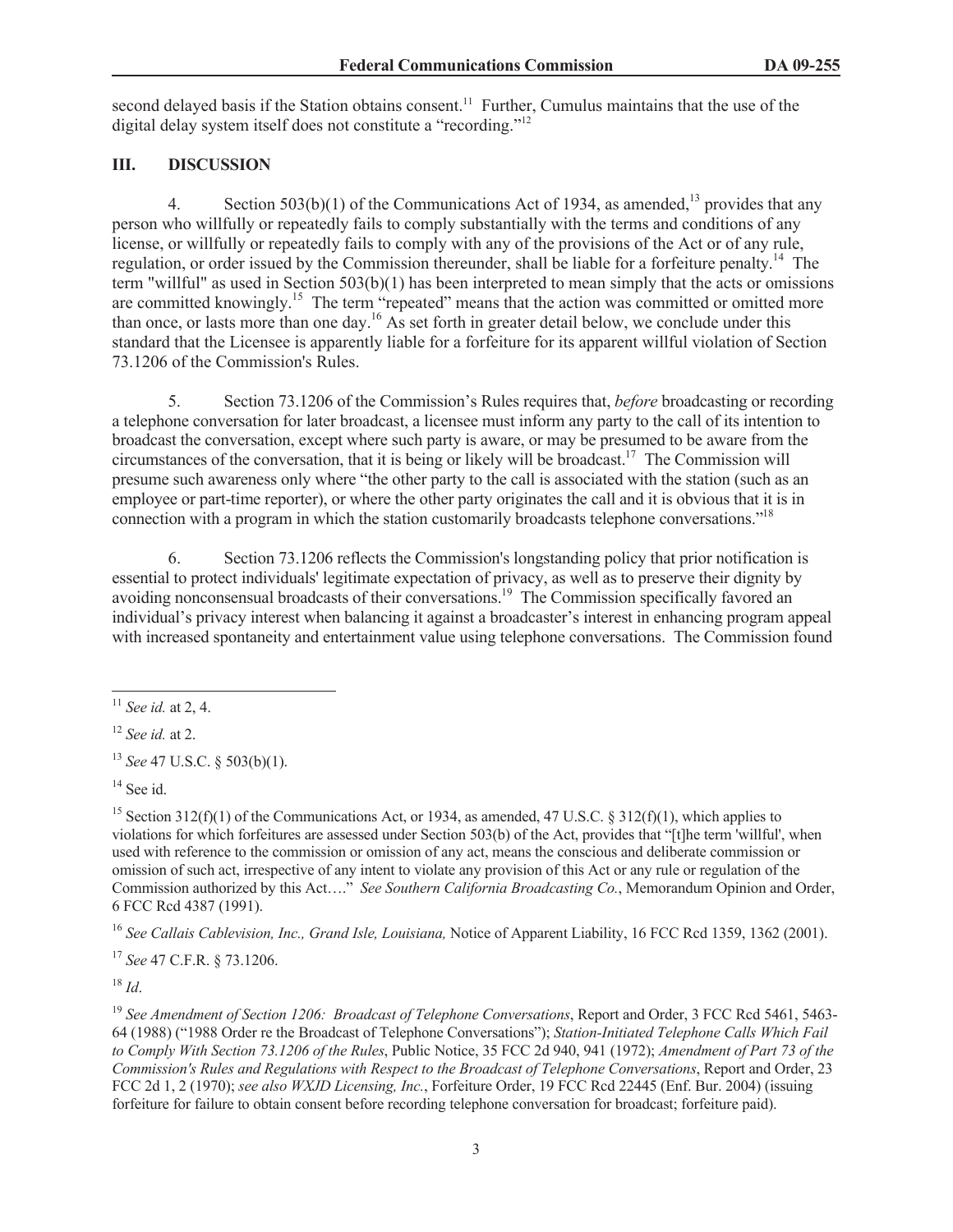second delayed basis if the Station obtains consent.<sup>11</sup> Further, Cumulus maintains that the use of the digital delay system itself does not constitute a "recording."<sup>12</sup>

# **III. DISCUSSION**

4. Section 503(b)(1) of the Communications Act of 1934, as amended,<sup>13</sup> provides that any person who willfully or repeatedly fails to comply substantially with the terms and conditions of any license, or willfully or repeatedly fails to comply with any of the provisions of the Act or of any rule, regulation, or order issued by the Commission thereunder, shall be liable for a forfeiture penalty.<sup>14</sup> The term "willful" as used in Section 503(b)(1) has been interpreted to mean simply that the acts or omissions are committed knowingly.<sup>15</sup> The term "repeated" means that the action was committed or omitted more than once, or lasts more than one day.<sup>16</sup> As set forth in greater detail below, we conclude under this standard that the Licensee is apparently liable for a forfeiture for its apparent willful violation of Section 73.1206 of the Commission's Rules.

5. Section 73.1206 of the Commission's Rules requires that, *before* broadcasting or recording a telephone conversation for later broadcast, a licensee must inform any party to the call of its intention to broadcast the conversation, except where such party is aware, or may be presumed to be aware from the circumstances of the conversation, that it is being or likely will be broadcast.<sup>17</sup> The Commission will presume such awareness only where "the other party to the call is associated with the station (such as an employee or part-time reporter), or where the other party originates the call and it is obvious that it is in connection with a program in which the station customarily broadcasts telephone conversations.<sup>718</sup>

6. Section 73.1206 reflects the Commission's longstanding policy that prior notification is essential to protect individuals' legitimate expectation of privacy, as well as to preserve their dignity by avoiding nonconsensual broadcasts of their conversations.<sup>19</sup> The Commission specifically favored an individual's privacy interest when balancing it against a broadcaster's interest in enhancing program appeal with increased spontaneity and entertainment value using telephone conversations. The Commission found

<sup>16</sup> *See Callais Cablevision, Inc., Grand Isle, Louisiana,* Notice of Apparent Liability, 16 FCC Rcd 1359, 1362 (2001).

<sup>17</sup> *See* 47 C.F.R. § 73.1206.

<sup>18</sup> *Id*.

<sup>11</sup> *See id.* at 2, 4.

<sup>12</sup> *See id.* at 2.

<sup>13</sup> *See* 47 U.S.C. § 503(b)(1).

 $14$  See id.

<sup>&</sup>lt;sup>15</sup> Section 312(f)(1) of the Communications Act, or 1934, as amended, 47 U.S.C. § 312(f)(1), which applies to violations for which forfeitures are assessed under Section 503(b) of the Act, provides that "[t]he term 'willful', when used with reference to the commission or omission of any act, means the conscious and deliberate commission or omission of such act, irrespective of any intent to violate any provision of this Act or any rule or regulation of the Commission authorized by this Act…." *See Southern California Broadcasting Co.*, Memorandum Opinion and Order, 6 FCC Rcd 4387 (1991).

<sup>19</sup> *See Amendment of Section 1206: Broadcast of Telephone Conversations*, Report and Order, 3 FCC Rcd 5461, 5463- 64 (1988) ("1988 Order re the Broadcast of Telephone Conversations"); *Station-Initiated Telephone Calls Which Fail to Comply With Section 73.1206 of the Rules*, Public Notice, 35 FCC 2d 940, 941 (1972); *Amendment of Part 73 of the Commission's Rules and Regulations with Respect to the Broadcast of Telephone Conversations*, Report and Order, 23 FCC 2d 1, 2 (1970); *see also WXJD Licensing, Inc.*, Forfeiture Order, 19 FCC Rcd 22445 (Enf. Bur. 2004) (issuing forfeiture for failure to obtain consent before recording telephone conversation for broadcast; forfeiture paid).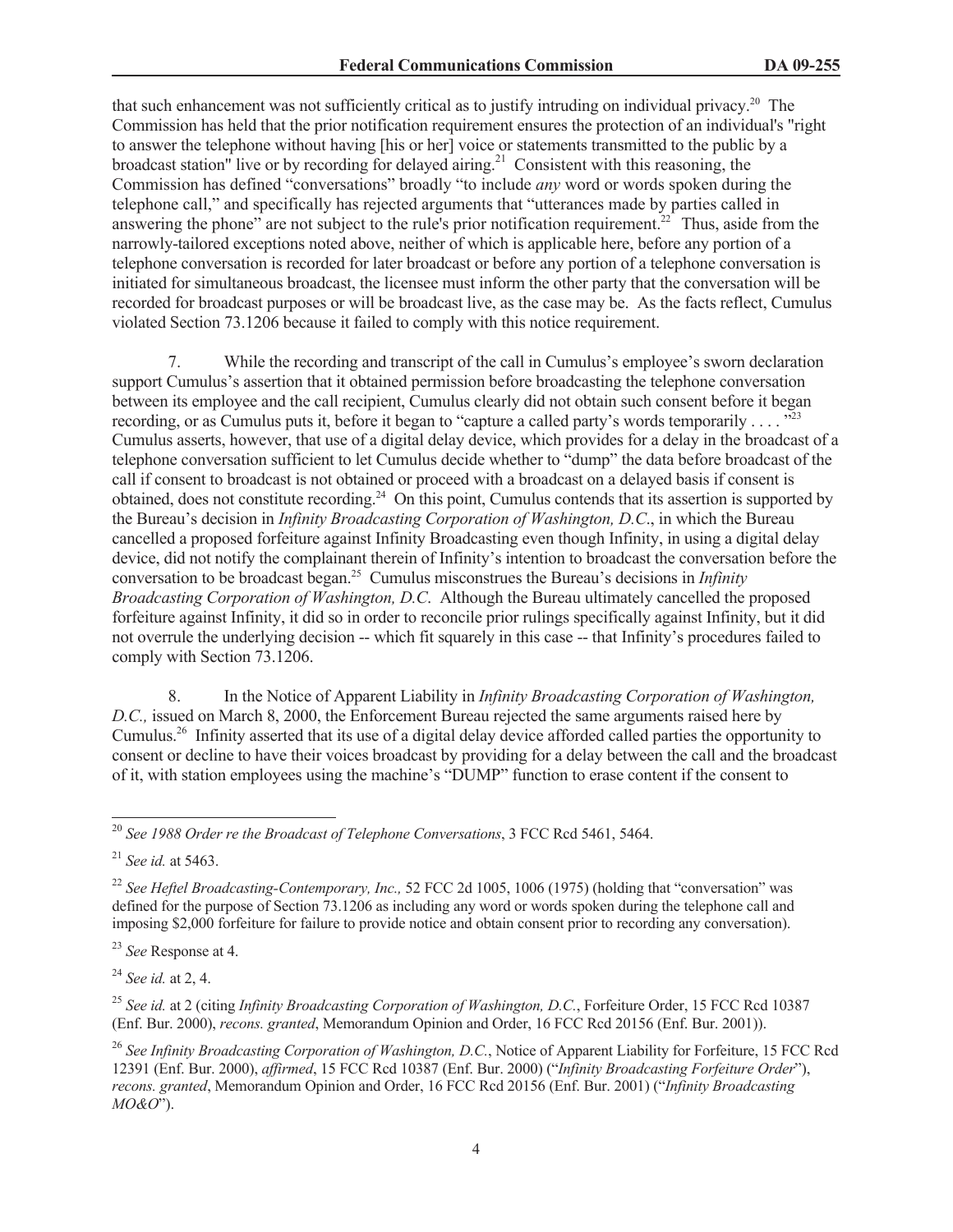that such enhancement was not sufficiently critical as to justify intruding on individual privacy.<sup>20</sup> The Commission has held that the prior notification requirement ensures the protection of an individual's "right to answer the telephone without having [his or her] voice or statements transmitted to the public by a broadcast station" live or by recording for delayed airing.<sup>21</sup> Consistent with this reasoning, the Commission has defined "conversations" broadly "to include *any* word or words spoken during the telephone call," and specifically has rejected arguments that "utterances made by parties called in answering the phone" are not subject to the rule's prior notification requirement.<sup>22</sup> Thus, aside from the narrowly-tailored exceptions noted above, neither of which is applicable here, before any portion of a telephone conversation is recorded for later broadcast or before any portion of a telephone conversation is initiated for simultaneous broadcast, the licensee must inform the other party that the conversation will be recorded for broadcast purposes or will be broadcast live, as the case may be. As the facts reflect, Cumulus violated Section 73.1206 because it failed to comply with this notice requirement.

7. While the recording and transcript of the call in Cumulus's employee's sworn declaration support Cumulus's assertion that it obtained permission before broadcasting the telephone conversation between its employee and the call recipient, Cumulus clearly did not obtain such consent before it began recording, or as Cumulus puts it, before it began to "capture a called party's words temporarily . . . .  $\frac{1523}{2}$ Cumulus asserts, however, that use of a digital delay device, which provides for a delay in the broadcast of a telephone conversation sufficient to let Cumulus decide whether to "dump" the data before broadcast of the call if consent to broadcast is not obtained or proceed with a broadcast on a delayed basis if consent is obtained, does not constitute recording.<sup>24</sup> On this point, Cumulus contends that its assertion is supported by the Bureau's decision in *Infinity Broadcasting Corporation of Washington, D.C*., in which the Bureau cancelled a proposed forfeiture against Infinity Broadcasting even though Infinity, in using a digital delay device, did not notify the complainant therein of Infinity's intention to broadcast the conversation before the conversation to be broadcast began.<sup>25</sup> Cumulus misconstrues the Bureau's decisions in *Infinity Broadcasting Corporation of Washington, D.C*. Although the Bureau ultimately cancelled the proposed forfeiture against Infinity, it did so in order to reconcile prior rulings specifically against Infinity, but it did not overrule the underlying decision -- which fit squarely in this case -- that Infinity's procedures failed to comply with Section 73.1206.

8. In the Notice of Apparent Liability in *Infinity Broadcasting Corporation of Washington, D.C.,* issued on March 8, 2000, the Enforcement Bureau rejected the same arguments raised here by Cumulus.<sup>26</sup> Infinity asserted that its use of a digital delay device afforded called parties the opportunity to consent or decline to have their voices broadcast by providing for a delay between the call and the broadcast of it, with station employees using the machine's "DUMP" function to erase content if the consent to

<sup>24</sup> *See id.* at 2, 4.

<sup>25</sup> *See id.* at 2 (citing *Infinity Broadcasting Corporation of Washington, D.C.*, Forfeiture Order, 15 FCC Rcd 10387 (Enf. Bur. 2000), *recons. granted*, Memorandum Opinion and Order, 16 FCC Rcd 20156 (Enf. Bur. 2001)).

<sup>26</sup> See Infinity Broadcasting Corporation of Washington, D.C., Notice of Apparent Liability for Forfeiture, 15 FCC Rcd 12391 (Enf. Bur. 2000), *affirmed*, 15 FCC Rcd 10387 (Enf. Bur. 2000) ("*Infinity Broadcasting Forfeiture Order*"), *recons. granted*, Memorandum Opinion and Order, 16 FCC Rcd 20156 (Enf. Bur. 2001) ("*Infinity Broadcasting MO&O*").

<sup>20</sup> *See 1988 Order re the Broadcast of Telephone Conversations*, 3 FCC Rcd 5461, 5464.

<sup>21</sup> *See id.* at 5463.

<sup>&</sup>lt;sup>22</sup> *See Heftel Broadcasting-Contemporary, Inc.,* 52 FCC 2d 1005, 1006 (1975) (holding that "conversation" was defined for the purpose of Section 73.1206 as including any word or words spoken during the telephone call and imposing \$2,000 forfeiture for failure to provide notice and obtain consent prior to recording any conversation).

<sup>23</sup> *See* Response at 4.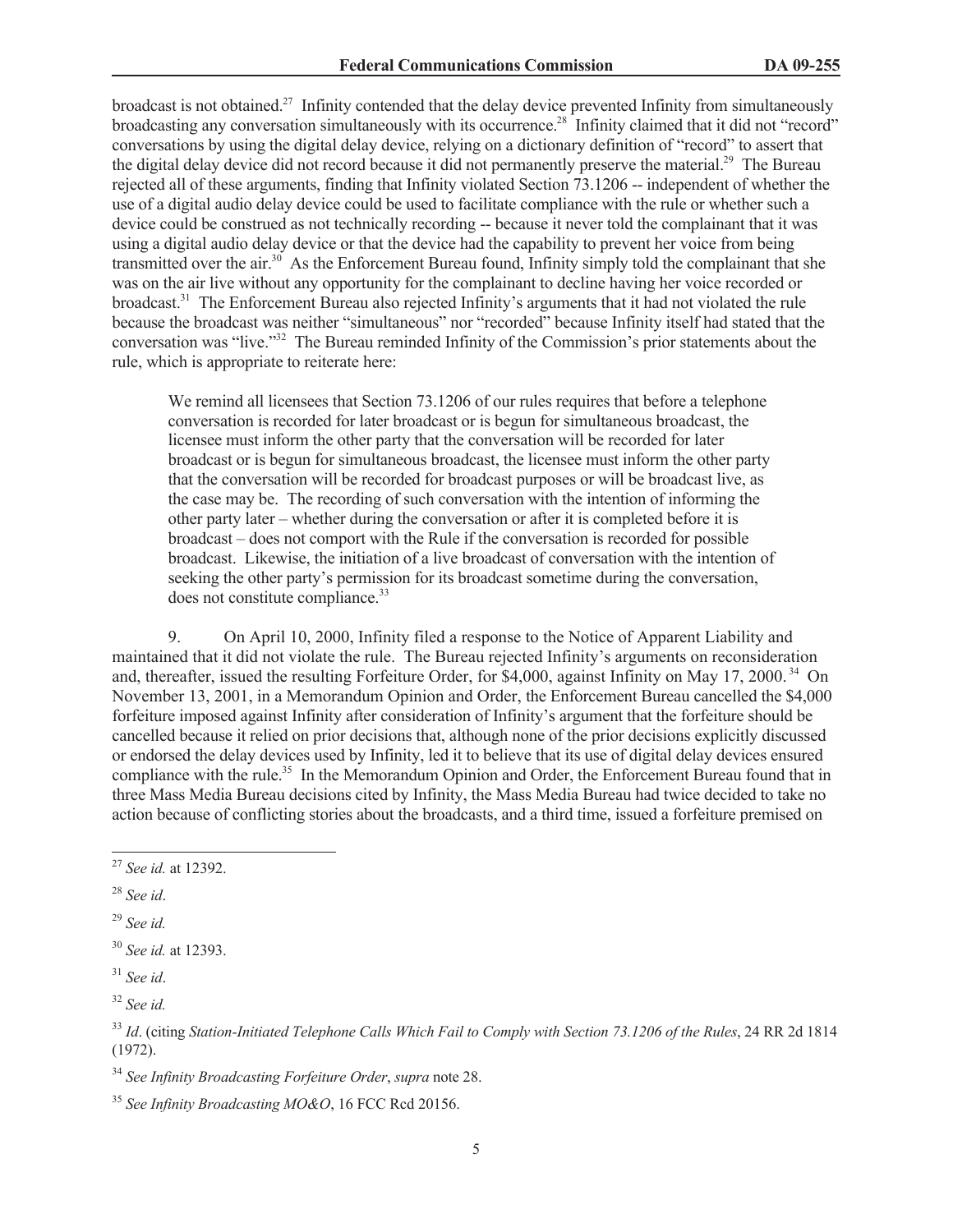broadcast is not obtained.<sup>27</sup> Infinity contended that the delay device prevented Infinity from simultaneously broadcasting any conversation simultaneously with its occurrence.<sup>28</sup> Infinity claimed that it did not "record" conversations by using the digital delay device, relying on a dictionary definition of "record" to assert that the digital delay device did not record because it did not permanently preserve the material.<sup>29</sup> The Bureau rejected all of these arguments, finding that Infinity violated Section 73.1206 -- independent of whether the use of a digital audio delay device could be used to facilitate compliance with the rule or whether such a device could be construed as not technically recording -- because it never told the complainant that it was using a digital audio delay device or that the device had the capability to prevent her voice from being transmitted over the air.<sup>30</sup> As the Enforcement Bureau found, Infinity simply told the complainant that she was on the air live without any opportunity for the complainant to decline having her voice recorded or broadcast.<sup>31</sup> The Enforcement Bureau also rejected Infinity's arguments that it had not violated the rule because the broadcast was neither "simultaneous" nor "recorded" because Infinity itself had stated that the conversation was "live."<sup>32</sup> The Bureau reminded Infinity of the Commission's prior statements about the rule, which is appropriate to reiterate here:

We remind all licensees that Section 73.1206 of our rules requires that before a telephone conversation is recorded for later broadcast or is begun for simultaneous broadcast, the licensee must inform the other party that the conversation will be recorded for later broadcast or is begun for simultaneous broadcast, the licensee must inform the other party that the conversation will be recorded for broadcast purposes or will be broadcast live, as the case may be. The recording of such conversation with the intention of informing the other party later – whether during the conversation or after it is completed before it is broadcast – does not comport with the Rule if the conversation is recorded for possible broadcast. Likewise, the initiation of a live broadcast of conversation with the intention of seeking the other party's permission for its broadcast sometime during the conversation, does not constitute compliance.<sup>33</sup>

9. On April 10, 2000, Infinity filed a response to the Notice of Apparent Liability and maintained that it did not violate the rule. The Bureau rejected Infinity's arguments on reconsideration and, thereafter, issued the resulting Forfeiture Order, for \$4,000, against Infinity on May 17, 2000. <sup>34</sup> On November 13, 2001, in a Memorandum Opinion and Order, the Enforcement Bureau cancelled the \$4,000 forfeiture imposed against Infinity after consideration of Infinity's argument that the forfeiture should be cancelled because it relied on prior decisions that, although none of the prior decisions explicitly discussed or endorsed the delay devices used by Infinity, led it to believe that its use of digital delay devices ensured compliance with the rule.<sup>35</sup> In the Memorandum Opinion and Order, the Enforcement Bureau found that in three Mass Media Bureau decisions cited by Infinity, the Mass Media Bureau had twice decided to take no action because of conflicting stories about the broadcasts, and a third time, issued a forfeiture premised on

<sup>27</sup> *See id.* at 12392.

<sup>28</sup> *See id*.

<sup>29</sup> *See id.*

<sup>30</sup> *See id.* at 12393.

<sup>31</sup> *See id*.

<sup>32</sup> *See id.*

<sup>33</sup> *Id*. (citing *Station-Initiated Telephone Calls Which Fail to Comply with Section 73.1206 of the Rules*, 24 RR 2d 1814 (1972).

<sup>34</sup> *See Infinity Broadcasting Forfeiture Order*, *supra* note 28.

<sup>35</sup> *See Infinity Broadcasting MO&O*, 16 FCC Rcd 20156.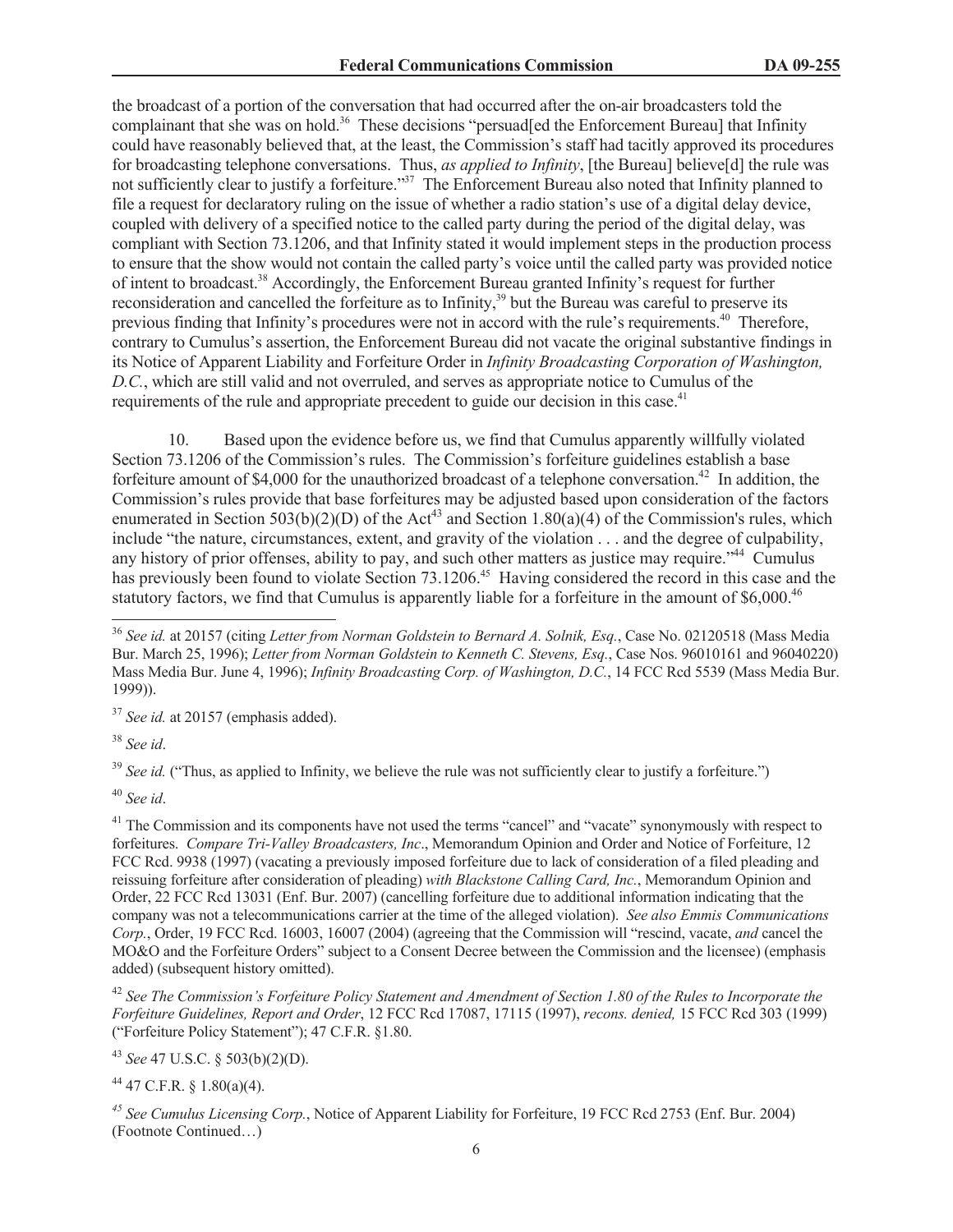the broadcast of a portion of the conversation that had occurred after the on-air broadcasters told the complainant that she was on hold.<sup>36</sup> These decisions "persuad[ed the Enforcement Bureau] that Infinity could have reasonably believed that, at the least, the Commission's staff had tacitly approved its procedures for broadcasting telephone conversations. Thus, *as applied to Infinity*, [the Bureau] believe[d] the rule was not sufficiently clear to justify a forfeiture."<sup>37</sup> The Enforcement Bureau also noted that Infinity planned to file a request for declaratory ruling on the issue of whether a radio station's use of a digital delay device, coupled with delivery of a specified notice to the called party during the period of the digital delay, was compliant with Section 73.1206, and that Infinity stated it would implement steps in the production process to ensure that the show would not contain the called party's voice until the called party was provided notice of intent to broadcast.<sup>38</sup> Accordingly, the Enforcement Bureau granted Infinity's request for further reconsideration and cancelled the forfeiture as to Infinity,<sup>39</sup> but the Bureau was careful to preserve its previous finding that Infinity's procedures were not in accord with the rule's requirements.<sup>40</sup> Therefore, contrary to Cumulus's assertion, the Enforcement Bureau did not vacate the original substantive findings in its Notice of Apparent Liability and Forfeiture Order in *Infinity Broadcasting Corporation of Washington, D.C.*, which are still valid and not overruled, and serves as appropriate notice to Cumulus of the requirements of the rule and appropriate precedent to guide our decision in this case.<sup>41</sup>

10. Based upon the evidence before us, we find that Cumulus apparently willfully violated Section 73.1206 of the Commission's rules. The Commission's forfeiture guidelines establish a base forfeiture amount of \$4,000 for the unauthorized broadcast of a telephone conversation.<sup>42</sup> In addition, the Commission's rules provide that base forfeitures may be adjusted based upon consideration of the factors enumerated in Section 503(b)(2)(D) of the Act<sup>43</sup> and Section 1.80(a)(4) of the Commission's rules, which include "the nature, circumstances, extent, and gravity of the violation . . . and the degree of culpability, any history of prior offenses, ability to pay, and such other matters as justice may require.<sup>344</sup> Cumulus has previously been found to violate Section 73.1206.<sup>45</sup> Having considered the record in this case and the statutory factors, we find that Cumulus is apparently liable for a forfeiture in the amount of \$6,000.<sup>46</sup>

<sup>37</sup> *See id.* at 20157 (emphasis added).

<sup>38</sup> *See id*.

<sup>39</sup> *See id.* ("Thus, as applied to Infinity, we believe the rule was not sufficiently clear to justify a forfeiture.")

<sup>40</sup> *See id*.

<sup>41</sup> The Commission and its components have not used the terms "cancel" and "vacate" synonymously with respect to forfeitures. *Compare Tri-Valley Broadcasters, Inc*., Memorandum Opinion and Order and Notice of Forfeiture, 12 FCC Rcd. 9938 (1997) (vacating a previously imposed forfeiture due to lack of consideration of a filed pleading and reissuing forfeiture after consideration of pleading) *with Blackstone Calling Card, Inc.*, Memorandum Opinion and Order, 22 FCC Rcd 13031 (Enf. Bur. 2007) (cancelling forfeiture due to additional information indicating that the company was not a telecommunications carrier at the time of the alleged violation). *See also Emmis Communications Corp.*, Order, 19 FCC Rcd. 16003, 16007 (2004) (agreeing that the Commission will "rescind, vacate, *and* cancel the MO&O and the Forfeiture Orders" subject to a Consent Decree between the Commission and the licensee) (emphasis added) (subsequent history omitted).

<sup>42</sup> *See The Commission's Forfeiture Policy Statement and Amendment of Section 1.80 of the Rules to Incorporate the Forfeiture Guidelines, Report and Order*, 12 FCC Rcd 17087, 17115 (1997), *recons. denied,* 15 FCC Rcd 303 (1999) ("Forfeiture Policy Statement"); 47 C.F.R. §1.80.

<sup>43</sup> *See* 47 U.S.C. § 503(b)(2)(D).

 $44$  47 C.F.R. § 1.80(a)(4).

*<sup>45</sup> See Cumulus Licensing Corp.*, Notice of Apparent Liability for Forfeiture, 19 FCC Rcd 2753 (Enf. Bur. 2004) (Footnote Continued…)

<sup>36</sup> *See id.* at 20157 (citing *Letter from Norman Goldstein to Bernard A. Solnik, Esq.*, Case No. 02120518 (Mass Media Bur. March 25, 1996); *Letter from Norman Goldstein to Kenneth C. Stevens, Esq.*, Case Nos. 96010161 and 96040220) Mass Media Bur. June 4, 1996); *Infinity Broadcasting Corp. of Washington, D.C.*, 14 FCC Rcd 5539 (Mass Media Bur. 1999)).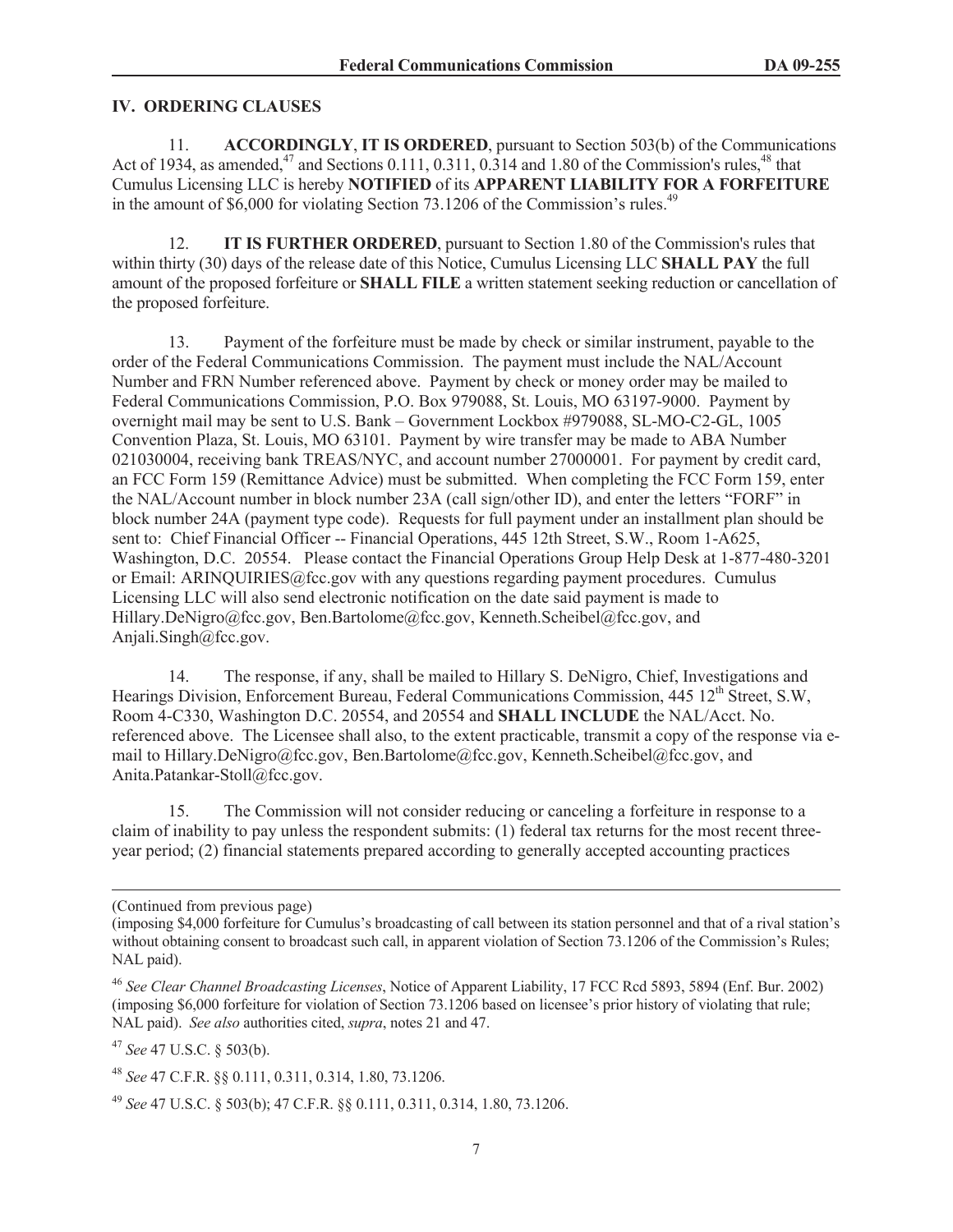### **IV. ORDERING CLAUSES**

11. **ACCORDINGLY**, **IT IS ORDERED**, pursuant to Section 503(b) of the Communications Act of 1934, as amended,<sup>47</sup> and Sections 0.111, 0.311, 0.314 and 1.80 of the Commission's rules,<sup>48</sup> that Cumulus Licensing LLC is hereby **NOTIFIED** of its **APPARENT LIABILITY FOR A FORFEITURE** in the amount of  $$6,000$  for violating Section 73.1206 of the Commission's rules.<sup>49</sup>

12. **IT IS FURTHER ORDERED**, pursuant to Section 1.80 of the Commission's rules that within thirty (30) days of the release date of this Notice, Cumulus Licensing LLC **SHALL PAY** the full amount of the proposed forfeiture or **SHALL FILE** a written statement seeking reduction or cancellation of the proposed forfeiture.

13. Payment of the forfeiture must be made by check or similar instrument, payable to the order of the Federal Communications Commission. The payment must include the NAL/Account Number and FRN Number referenced above. Payment by check or money order may be mailed to Federal Communications Commission, P.O. Box 979088, St. Louis, MO 63197-9000. Payment by overnight mail may be sent to U.S. Bank – Government Lockbox #979088, SL-MO-C2-GL, 1005 Convention Plaza, St. Louis, MO 63101. Payment by wire transfer may be made to ABA Number 021030004, receiving bank TREAS/NYC, and account number 27000001. For payment by credit card, an FCC Form 159 (Remittance Advice) must be submitted. When completing the FCC Form 159, enter the NAL/Account number in block number 23A (call sign/other ID), and enter the letters "FORF" in block number 24A (payment type code). Requests for full payment under an installment plan should be sent to: Chief Financial Officer -- Financial Operations, 445 12th Street, S.W., Room 1-A625, Washington, D.C. 20554. Please contact the Financial Operations Group Help Desk at 1-877-480-3201 or Email: ARINQUIRIES@fcc.gov with any questions regarding payment procedures. Cumulus Licensing LLC will also send electronic notification on the date said payment is made to Hillary.DeNigro@fcc.gov, Ben.Bartolome@fcc.gov, Kenneth.Scheibel@fcc.gov, and Anjali.Singh@fcc.gov.

14. The response, if any, shall be mailed to Hillary S. DeNigro, Chief, Investigations and Hearings Division, Enforcement Bureau, Federal Communications Commission, 445 12<sup>th</sup> Street, S.W. Room 4-C330, Washington D.C. 20554, and 20554 and **SHALL INCLUDE** the NAL/Acct. No. referenced above. The Licensee shall also, to the extent practicable, transmit a copy of the response via email to Hillary.DeNigro@fcc.gov, Ben.Bartolome@fcc.gov, Kenneth.Scheibel@fcc.gov, and Anita.Patankar-Stoll@fcc.gov.

15. The Commission will not consider reducing or canceling a forfeiture in response to a claim of inability to pay unless the respondent submits: (1) federal tax returns for the most recent threeyear period; (2) financial statements prepared according to generally accepted accounting practices

<sup>49</sup> *See* 47 U.S.C. § 503(b); 47 C.F.R. §§ 0.111, 0.311, 0.314, 1.80, 73.1206.

<sup>(</sup>Continued from previous page)

<sup>(</sup>imposing \$4,000 forfeiture for Cumulus's broadcasting of call between its station personnel and that of a rival station's without obtaining consent to broadcast such call, in apparent violation of Section 73.1206 of the Commission's Rules; NAL paid).

<sup>46</sup> *See Clear Channel Broadcasting Licenses*, Notice of Apparent Liability, 17 FCC Rcd 5893, 5894 (Enf. Bur. 2002) (imposing \$6,000 forfeiture for violation of Section 73.1206 based on licensee's prior history of violating that rule; NAL paid). *See also* authorities cited, *supra*, notes 21 and 47.

<sup>47</sup> *See* 47 U.S.C. § 503(b).

<sup>48</sup> *See* 47 C.F.R. §§ 0.111, 0.311, 0.314, 1.80, 73.1206.